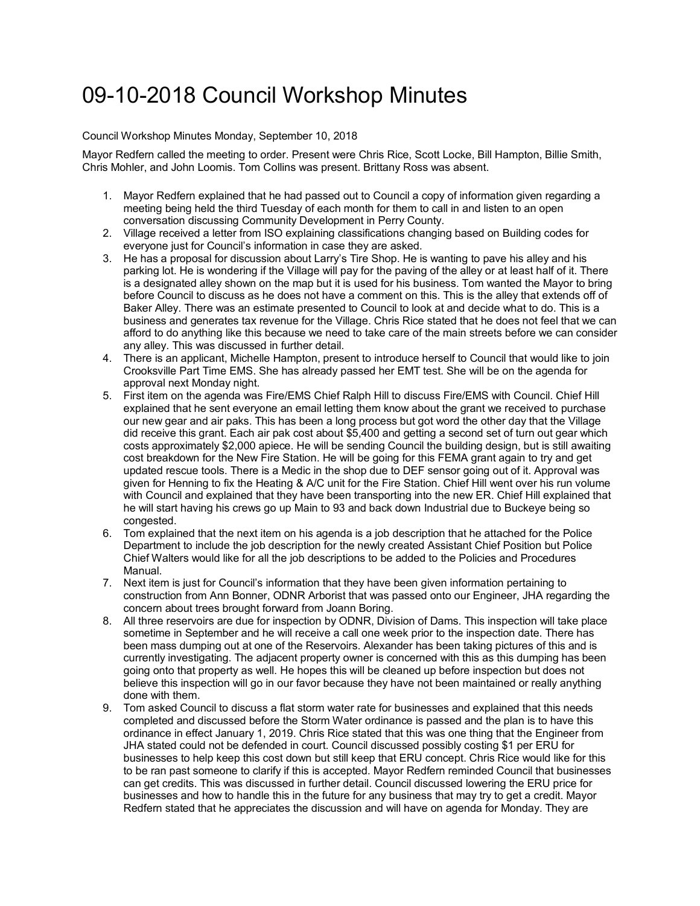## 09-10-2018 Council Workshop Minutes

## Council Workshop Minutes Monday, September 10, 2018

Mayor Redfern called the meeting to order. Present were Chris Rice, Scott Locke, Bill Hampton, Billie Smith, Chris Mohler, and John Loomis. Tom Collins was present. Brittany Ross was absent.

- 1. Mayor Redfern explained that he had passed out to Council a copy of information given regarding a meeting being held the third Tuesday of each month for them to call in and listen to an open conversation discussing Community Development in Perry County.
- 2. Village received a letter from ISO explaining classifications changing based on Building codes for everyone just for Council's information in case they are asked.
- 3. He has a proposal for discussion about Larry's Tire Shop. He is wanting to pave his alley and his parking lot. He is wondering if the Village will pay for the paving of the alley or at least half of it. There is a designated alley shown on the map but it is used for his business. Tom wanted the Mayor to bring before Council to discuss as he does not have a comment on this. This is the alley that extends off of Baker Alley. There was an estimate presented to Council to look at and decide what to do. This is a business and generates tax revenue for the Village. Chris Rice stated that he does not feel that we can afford to do anything like this because we need to take care of the main streets before we can consider any alley. This was discussed in further detail.
- 4. There is an applicant, Michelle Hampton, present to introduce herself to Council that would like to join Crooksville Part Time EMS. She has already passed her EMT test. She will be on the agenda for approval next Monday night.
- 5. First item on the agenda was Fire/EMS Chief Ralph Hill to discuss Fire/EMS with Council. Chief Hill explained that he sent everyone an email letting them know about the grant we received to purchase our new gear and air paks. This has been a long process but got word the other day that the Village did receive this grant. Each air pak cost about \$5,400 and getting a second set of turn out gear which costs approximately \$2,000 apiece. He will be sending Council the building design, but is still awaiting cost breakdown for the New Fire Station. He will be going for this FEMA grant again to try and get updated rescue tools. There is a Medic in the shop due to DEF sensor going out of it. Approval was given for Henning to fix the Heating & A/C unit for the Fire Station. Chief Hill went over his run volume with Council and explained that they have been transporting into the new ER. Chief Hill explained that he will start having his crews go up Main to 93 and back down Industrial due to Buckeye being so congested.
- 6. Tom explained that the next item on his agenda is a job description that he attached for the Police Department to include the job description for the newly created Assistant Chief Position but Police Chief Walters would like for all the job descriptions to be added to the Policies and Procedures Manual.
- 7. Next item is just for Council's information that they have been given information pertaining to construction from Ann Bonner, ODNR Arborist that was passed onto our Engineer, JHA regarding the concern about trees brought forward from Joann Boring.
- 8. All three reservoirs are due for inspection by ODNR, Division of Dams. This inspection will take place sometime in September and he will receive a call one week prior to the inspection date. There has been mass dumping out at one of the Reservoirs. Alexander has been taking pictures of this and is currently investigating. The adjacent property owner is concerned with this as this dumping has been going onto that property as well. He hopes this will be cleaned up before inspection but does not believe this inspection will go in our favor because they have not been maintained or really anything done with them.
- 9. Tom asked Council to discuss a flat storm water rate for businesses and explained that this needs completed and discussed before the Storm Water ordinance is passed and the plan is to have this ordinance in effect January 1, 2019. Chris Rice stated that this was one thing that the Engineer from JHA stated could not be defended in court. Council discussed possibly costing \$1 per ERU for businesses to help keep this cost down but still keep that ERU concept. Chris Rice would like for this to be ran past someone to clarify if this is accepted. Mayor Redfern reminded Council that businesses can get credits. This was discussed in further detail. Council discussed lowering the ERU price for businesses and how to handle this in the future for any business that may try to get a credit. Mayor Redfern stated that he appreciates the discussion and will have on agenda for Monday. They are